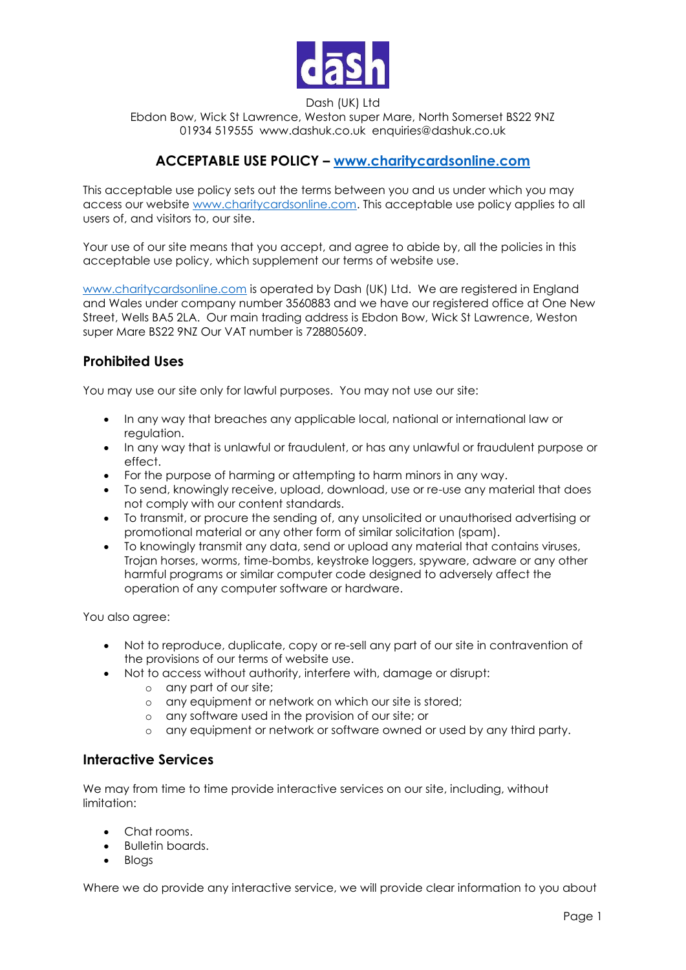

Dash (UK) Ltd

Ebdon Bow, Wick St Lawrence, Weston super Mare, North Somerset BS22 9NZ 01934 519555 www.dashuk.co.uk enquiries@dashuk.co.uk

## **ACCEPTABLE USE POLICY – [www.charitycardsonline.com](http://www.charitycardsonline.com/)**

This acceptable use policy sets out the terms between you and us under which you may access our website [www.charitycardsonline.com.](http://www.charitycardsonline.com/) This acceptable use policy applies to all users of, and visitors to, our site.

Your use of our site means that you accept, and agree to abide by, all the policies in this acceptable use policy, which supplement our terms of website use.

[www.charitycardsonline.com](http://www.charitycardsonline.com/) is operated by Dash (UK) Ltd. We are registered in England and Wales under company number 3560883 and we have our registered office at One New Street, Wells BA5 2LA. Our main trading address is Ebdon Bow, Wick St Lawrence, Weston super Mare BS22 9NZ Our VAT number is 728805609.

### **Prohibited Uses**

You may use our site only for lawful purposes. You may not use our site:

- In any way that breaches any applicable local, national or international law or regulation.
- In any way that is unlawful or fraudulent, or has any unlawful or fraudulent purpose or effect.
- For the purpose of harming or attempting to harm minors in any way.
- To send, knowingly receive, upload, download, use or re-use any material that does not comply with our content standards.
- To transmit, or procure the sending of, any unsolicited or unauthorised advertising or promotional material or any other form of similar solicitation (spam).
- To knowingly transmit any data, send or upload any material that contains viruses, Trojan horses, worms, time-bombs, keystroke loggers, spyware, adware or any other harmful programs or similar computer code designed to adversely affect the operation of any computer software or hardware.

You also agree:

- Not to reproduce, duplicate, copy or re-sell any part of our site in contravention of the provisions of our terms of website use.
- Not to access without authority, interfere with, damage or disrupt:
	- o any part of our site;
	- o any equipment or network on which our site is stored;
	- o any software used in the provision of our site; or
	- o any equipment or network or software owned or used by any third party.

#### **Interactive Services**

We may from time to time provide interactive services on our site, including, without limitation:

- Chat rooms.
- Bulletin boards.
- Blogs

Where we do provide any interactive service, we will provide clear information to you about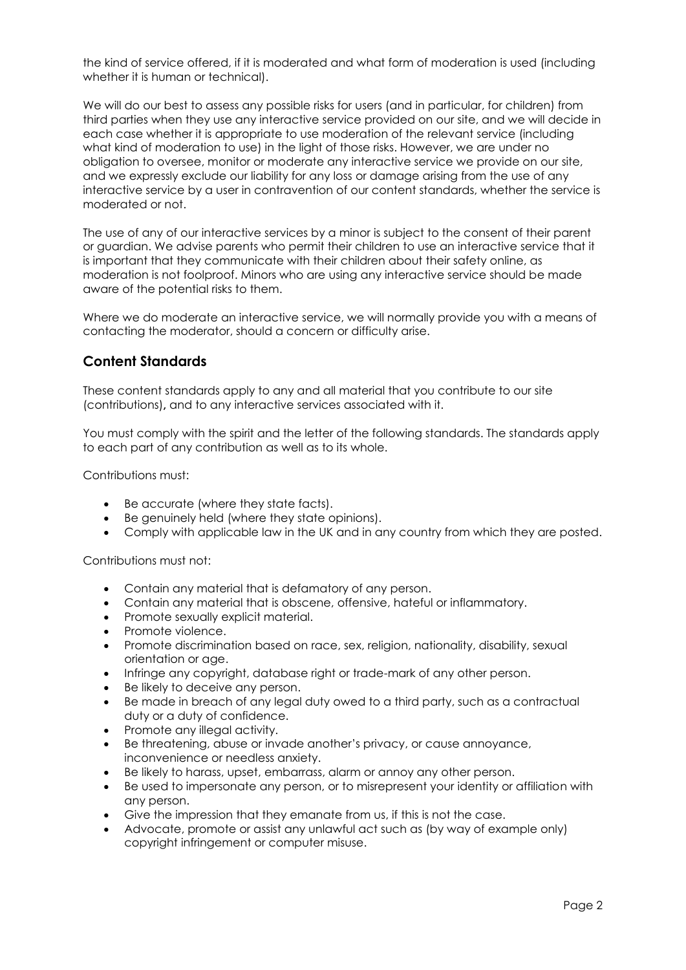the kind of service offered, if it is moderated and what form of moderation is used (including whether it is human or technical).

We will do our best to assess any possible risks for users (and in particular, for children) from third parties when they use any interactive service provided on our site, and we will decide in each case whether it is appropriate to use moderation of the relevant service (including what kind of moderation to use) in the light of those risks. However, we are under no obligation to oversee, monitor or moderate any interactive service we provide on our site, and we expressly exclude our liability for any loss or damage arising from the use of any interactive service by a user in contravention of our content standards, whether the service is moderated or not.

The use of any of our interactive services by a minor is subject to the consent of their parent or guardian. We advise parents who permit their children to use an interactive service that it is important that they communicate with their children about their safety online, as moderation is not foolproof. Minors who are using any interactive service should be made aware of the potential risks to them.

Where we do moderate an interactive service, we will normally provide you with a means of contacting the moderator, should a concern or difficulty arise.

### **Content Standards**

These content standards apply to any and all material that you contribute to our site (contributions)**,** and to any interactive services associated with it.

You must comply with the spirit and the letter of the following standards. The standards apply to each part of any contribution as well as to its whole.

Contributions must:

- Be accurate (where they state facts).
- Be genuinely held (where they state opinions).
- Comply with applicable law in the UK and in any country from which they are posted.

Contributions must not:

- Contain any material that is defamatory of any person.
- Contain any material that is obscene, offensive, hateful or inflammatory.
- Promote sexually explicit material.
- Promote violence.
- Promote discrimination based on race, sex, religion, nationality, disability, sexual orientation or age.
- Infringe any copyright, database right or trade-mark of any other person.
- Be likely to deceive any person.
- Be made in breach of any legal duty owed to a third party, such as a contractual duty or a duty of confidence.
- Promote any illegal activity.
- Be threatening, abuse or invade another's privacy, or cause annoyance, inconvenience or needless anxiety.
- Be likely to harass, upset, embarrass, alarm or annoy any other person.
- Be used to impersonate any person, or to misrepresent your identity or affiliation with any person.
- Give the impression that they emanate from us, if this is not the case.
- Advocate, promote or assist any unlawful act such as (by way of example only) copyright infringement or computer misuse.